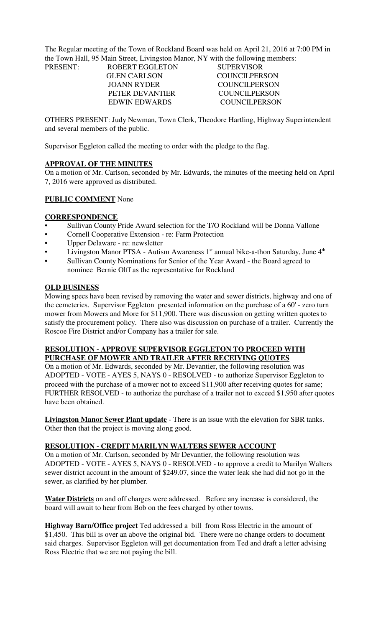The Regular meeting of the Town of Rockland Board was held on April 21, 2016 at 7:00 PM in the Town Hall, 95 Main Street, Livingston Manor, NY with the following members: PRESENT:

| PRESENT: | <b>ROBERT EGGLETON</b> | <b>SUPERVISOR</b> |
|----------|------------------------|-------------------|
|          | <b>GLEN CARLSON</b>    | COUNCIL PERSON    |
|          | JOANN RYDER            | COUNCIL PERSON    |
|          | PETER DEVANTIER        | COUNCIL PERSON    |
|          | <b>EDWIN EDWARDS</b>   | COUNCIL PERSON    |
|          |                        |                   |

OTHERS PRESENT: Judy Newman, Town Clerk, Theodore Hartling, Highway Superintendent and several members of the public.

Supervisor Eggleton called the meeting to order with the pledge to the flag.

#### **APPROVAL OF THE MINUTES**

On a motion of Mr. Carlson, seconded by Mr. Edwards, the minutes of the meeting held on April 7, 2016 were approved as distributed.

#### **PUBLIC COMMENT** None

#### **CORRESPONDENCE**

- Sullivan County Pride Award selection for the T/O Rockland will be Donna Vallone
- Cornell Cooperative Extension re: Farm Protection
- Upper Delaware re: newsletter
- Livingston Manor PTSA Autism Awareness  $1<sup>st</sup>$  annual bike-a-thon Saturday, June  $4<sup>th</sup>$
- Sullivan County Nominations for Senior of the Year Award the Board agreed to nominee Bernie Olff as the representative for Rockland

#### **OLD BUSINESS**

Mowing specs have been revised by removing the water and sewer districts, highway and one of the cemeteries. Supervisor Eggleton presented information on the purchase of a 60' - zero turn mower from Mowers and More for \$11,900. There was discussion on getting written quotes to satisfy the procurement policy. There also was discussion on purchase of a trailer. Currently the Roscoe Fire District and/or Company has a trailer for sale.

## **RESOLUTION - APPROVE SUPERVISOR EGGLETON TO PROCEED WITH PURCHASE OF MOWER AND TRAILER AFTER RECEIVING QUOTES**

On a motion of Mr. Edwards, seconded by Mr. Devantier, the following resolution was ADOPTED - VOTE - AYES 5, NAYS 0 - RESOLVED - to authorize Supervisor Eggleton to proceed with the purchase of a mower not to exceed \$11,900 after receiving quotes for same; FURTHER RESOLVED - to authorize the purchase of a trailer not to exceed \$1,950 after quotes have been obtained.

**Livingston Manor Sewer Plant update** - There is an issue with the elevation for SBR tanks. Other then that the project is moving along good.

## **RESOLUTION - CREDIT MARILYN WALTERS SEWER ACCOUNT**

On a motion of Mr. Carlson, seconded by Mr Devantier, the following resolution was ADOPTED - VOTE - AYES 5, NAYS 0 - RESOLVED - to approve a credit to Marilyn Walters sewer district account in the amount of \$249.07, since the water leak she had did not go in the sewer, as clarified by her plumber.

**Water Districts** on and off charges were addressed. Before any increase is considered, the board will await to hear from Bob on the fees charged by other towns.

**Highway Barn/Office project** Ted addressed a bill from Ross Electric in the amount of \$1,450. This bill is over an above the original bid. There were no change orders to document said charges. Supervisor Eggleton will get documentation from Ted and draft a letter advising Ross Electric that we are not paying the bill.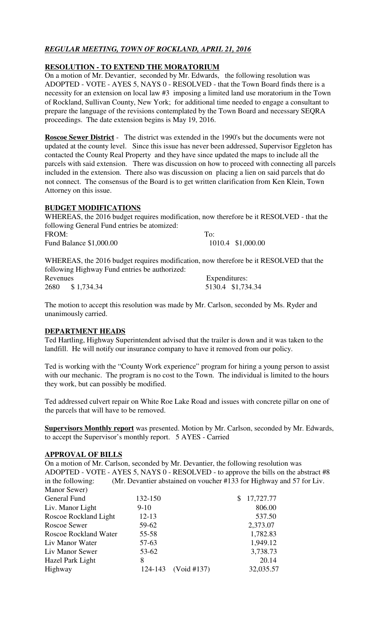# *REGULAR MEETING, TOWN OF ROCKLAND, APRIL 21, 2016*

## **RESOLUTION - TO EXTEND THE MORATORIUM**

On a motion of Mr. Devantier, seconded by Mr. Edwards, the following resolution was ADOPTED - VOTE - AYES 5, NAYS 0 - RESOLVED - that the Town Board finds there is a necessity for an extension on local law #3 imposing a limited land use moratorium in the Town of Rockland, Sullivan County, New York; for additional time needed to engage a consultant to prepare the language of the revisions contemplated by the Town Board and necessary SEQRA proceedings. The date extension begins is May 19, 2016.

**Roscoe Sewer District** - The district was extended in the 1990's but the documents were not updated at the county level. Since this issue has never been addressed, Supervisor Eggleton has contacted the County Real Property and they have since updated the maps to include all the parcels with said extension. There was discussion on how to proceed with connecting all parcels included in the extension. There also was discussion on placing a lien on said parcels that do not connect. The consensus of the Board is to get written clarification from Ken Klein, Town Attorney on this issue.

## **BUDGET MODIFICATIONS**

WHEREAS, the 2016 budget requires modification, now therefore be it RESOLVED - that the following General Fund entries be atomized: FROM: To: Fund Balance  $$1,000.00$ 

WHEREAS, the 2016 budget requires modification, now therefore be it RESOLVED that the following Highway Fund entries be authorized: Revenues Expenditures:

2680 \$ 1,734.34 5130.4 \$1,734.34

The motion to accept this resolution was made by Mr. Carlson, seconded by Ms. Ryder and unanimously carried.

## **DEPARTMENT HEADS**

Ted Hartling, Highway Superintendent advised that the trailer is down and it was taken to the landfill. He will notify our insurance company to have it removed from our policy.

Ted is working with the "County Work experience" program for hiring a young person to assist with our mechanic. The program is no cost to the Town. The individual is limited to the hours they work, but can possibly be modified.

Ted addressed culvert repair on White Roe Lake Road and issues with concrete pillar on one of the parcels that will have to be removed.

**Supervisors Monthly report** was presented. Motion by Mr. Carlson, seconded by Mr. Edwards, to accept the Supervisor's monthly report. 5 AYES - Carried

## **APPROVAL OF BILLS**

On a motion of Mr. Carlson, seconded by Mr. Devantier, the following resolution was ADOPTED - VOTE - AYES 5, NAYS 0 - RESOLVED - to approve the bills on the abstract #8 in the following: (Mr. Devantier abstained on voucher #133 for Highway and 57 for Liv. Manor Sewer)

| 132-150   |             | 17,727.77 |
|-----------|-------------|-----------|
| $9-10$    |             | 806.00    |
| $12 - 13$ |             | 537.50    |
| 59-62     |             | 2,373.07  |
| $55 - 58$ |             | 1,782.83  |
| 57-63     |             | 1,949.12  |
| 53-62     |             | 3,738.73  |
| 8         |             | 20.14     |
| 124-143   |             | 32,035.57 |
|           | (Void #137) |           |